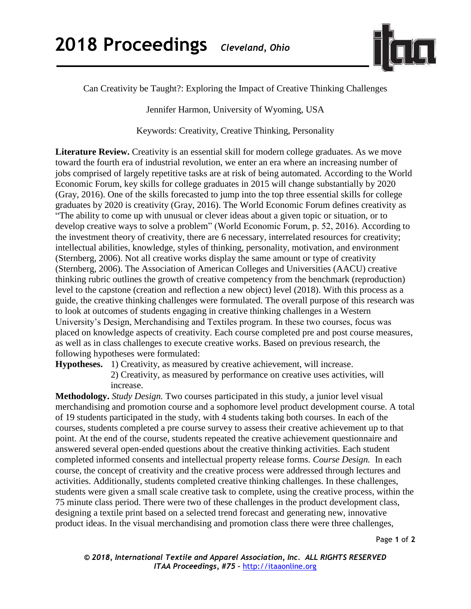

Can Creativity be Taught?: Exploring the Impact of Creative Thinking Challenges

Jennifer Harmon, University of Wyoming, USA

Keywords: Creativity, Creative Thinking, Personality

Literature Review. Creativity is an essential skill for modern college graduates. As we move toward the fourth era of industrial revolution, we enter an era where an increasing number of jobs comprised of largely repetitive tasks are at risk of being automated. According to the World Economic Forum, key skills for college graduates in 2015 will change substantially by 2020 (Gray, 2016). One of the skills forecasted to jump into the top three essential skills for college graduates by 2020 is creativity (Gray, 2016). The World Economic Forum defines creativity as "The ability to come up with unusual or clever ideas about a given topic or situation, or to develop creative ways to solve a problem" (World Economic Forum, p. 52, 2016). According to the investment theory of creativity, there are 6 necessary, interrelated resources for creativity; intellectual abilities, knowledge, styles of thinking, personality, motivation, and environment (Sternberg, 2006). Not all creative works display the same amount or type of creativity (Sternberg, 2006). The Association of American Colleges and Universities (AACU) creative thinking rubric outlines the growth of creative competency from the benchmark (reproduction) level to the capstone (creation and reflection a new object) level (2018). With this process as a guide, the creative thinking challenges were formulated. The overall purpose of this research was to look at outcomes of students engaging in creative thinking challenges in a Western University's Design, Merchandising and Textiles program. In these two courses, focus was placed on knowledge aspects of creativity. Each course completed pre and post course measures, as well as in class challenges to execute creative works. Based on previous research, the following hypotheses were formulated:

**Hypotheses.** 1) Creativity, as measured by creative achievement, will increase.

2) Creativity, as measured by performance on creative uses activities, will increase.

**Methodology.** *Study Design.* Two courses participated in this study, a junior level visual merchandising and promotion course and a sophomore level product development course. A total of 19 students participated in the study, with 4 students taking both courses. In each of the courses, students completed a pre course survey to assess their creative achievement up to that point. At the end of the course, students repeated the creative achievement questionnaire and answered several open-ended questions about the creative thinking activities. Each student completed informed consents and intellectual property release forms. *Course Design.* In each course, the concept of creativity and the creative process were addressed through lectures and activities. Additionally, students completed creative thinking challenges. In these challenges, students were given a small scale creative task to complete, using the creative process, within the 75 minute class period. There were two of these challenges in the product development class, designing a textile print based on a selected trend forecast and generating new, innovative product ideas. In the visual merchandising and promotion class there were three challenges,

Page **1** of **2**